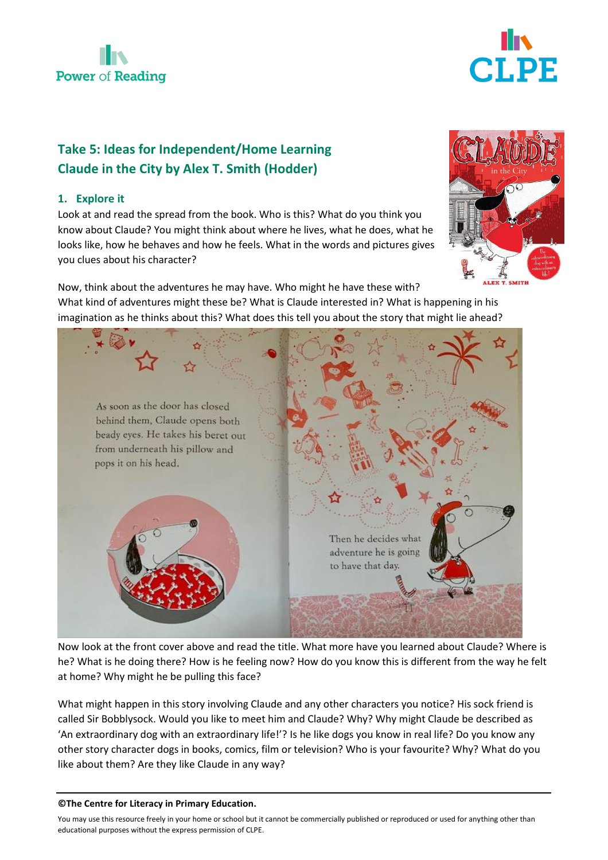



# **Take 5: Ideas for Independent/Home Learning Claude in the City by Alex T. Smith (Hodder)**

## **1. Explore it**

Look at and read the spread from the book. Who is this? What do you think you know about Claude? You might think about where he lives, what he does, what he looks like, how he behaves and how he feels. What in the words and pictures gives you clues about his character?



Now, think about the adventures he may have. Who might he have these with? What kind of adventures might these be? What is Claude interested in? What is happening in his imagination as he thinks about this? What does this tell you about the story that might lie ahead?



Now look at the front cover above and read the title. What more have you learned about Claude? Where is he? What is he doing there? How is he feeling now? How do you know this is different from the way he felt at home? Why might he be pulling this face?

What might happen in this story involving Claude and any other characters you notice? His sock friend is called Sir Bobblysock. Would you like to meet him and Claude? Why? Why might Claude be described as 'An extraordinary dog with an extraordinary life!'? Is he like dogs you know in real life? Do you know any other story character dogs in books, comics, film or television? Who is your favourite? Why? What do you like about them? Are they like Claude in any way?

#### **©The Centre for Literacy in Primary Education.**

You may use this resource freely in your home or school but it cannot be commercially published or reproduced or used for anything other than educational purposes without the express permission of CLPE.